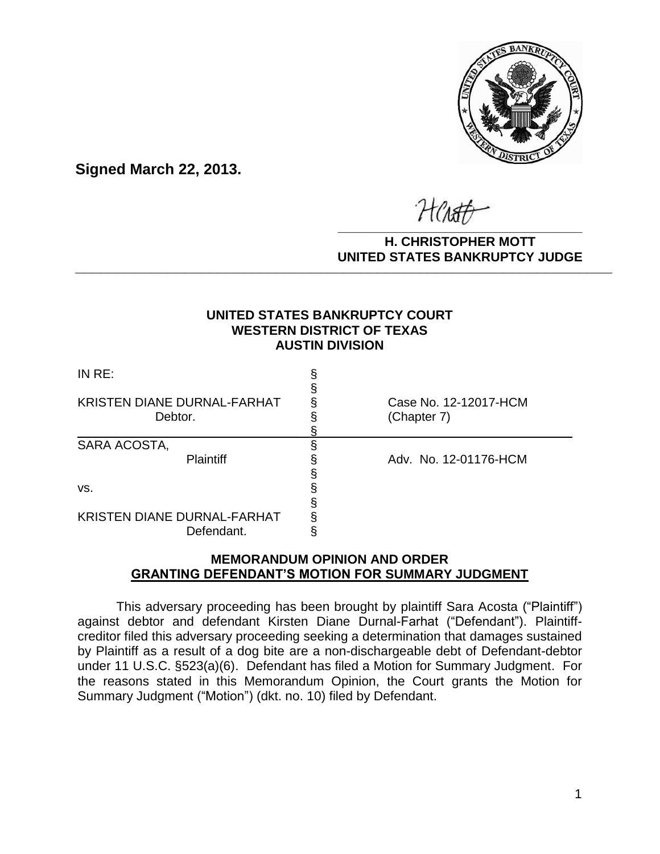

**Signed March 22, 2013.**

**\_\_\_\_\_\_\_\_\_\_\_\_\_\_\_\_\_\_\_\_\_\_\_\_\_\_\_\_\_\_\_\_\_\_**

#### **H. CHRISTOPHER MOTT UNITED STATES BANKRUPTCY JUDGE PATTED DRIVING TOT 00DCL**

## **UNITED STATES BANKRUPTCY COURT WESTERN DISTRICT OF TEXAS AUSTIN DIVISION**

| INRE:                                            |                                      |
|--------------------------------------------------|--------------------------------------|
| KRISTEN DIANE DURNAL-FARHAT<br>Debtor.           | Case No. 12-12017-HCM<br>(Chapter 7) |
| SARA ACOSTA,<br><b>Plaintiff</b>                 | Adv. No. 12-01176-HCM                |
| VS.                                              |                                      |
| <b>KRISTEN DIANE DURNAL-FARHAT</b><br>Defendant. |                                      |

# **MEMORANDUM OPINION AND ORDER GRANTING DEFENDANT'S MOTION FOR SUMMARY JUDGMENT**

This adversary proceeding has been brought by plaintiff Sara Acosta ("Plaintiff") against debtor and defendant Kirsten Diane Durnal-Farhat ("Defendant"). Plaintiffcreditor filed this adversary proceeding seeking a determination that damages sustained by Plaintiff as a result of a dog bite are a non-dischargeable debt of Defendant-debtor under 11 U.S.C. §523(a)(6). Defendant has filed a Motion for Summary Judgment. For the reasons stated in this Memorandum Opinion, the Court grants the Motion for Summary Judgment ("Motion") (dkt. no. 10) filed by Defendant.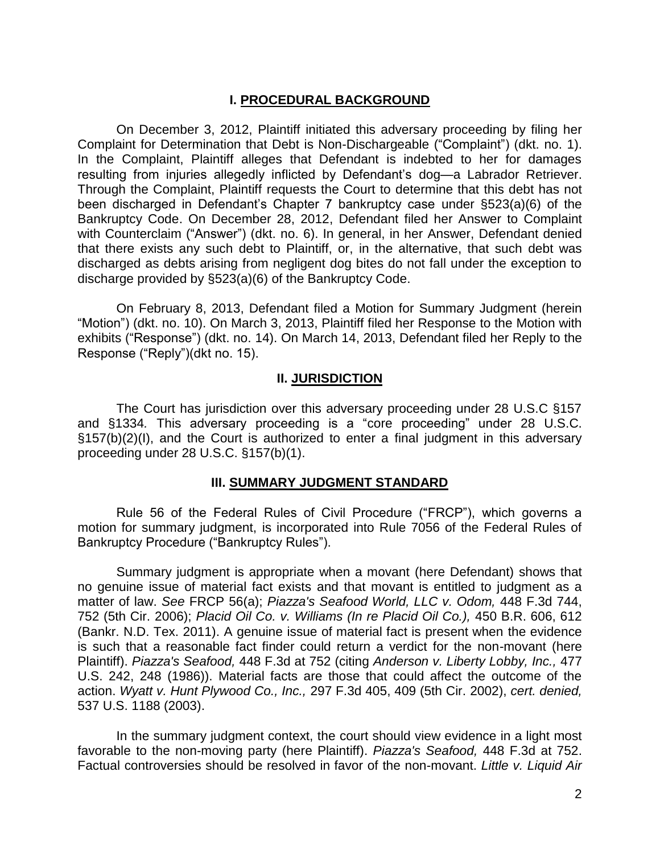## **I. PROCEDURAL BACKGROUND**

On December 3, 2012, Plaintiff initiated this adversary proceeding by filing her Complaint for Determination that Debt is Non-Dischargeable ("Complaint") (dkt. no. 1). In the Complaint, Plaintiff alleges that Defendant is indebted to her for damages resulting from injuries allegedly inflicted by Defendant's dog—a Labrador Retriever. Through the Complaint, Plaintiff requests the Court to determine that this debt has not been discharged in Defendant's Chapter 7 bankruptcy case under §523(a)(6) of the Bankruptcy Code. On December 28, 2012, Defendant filed her Answer to Complaint with Counterclaim ("Answer") (dkt. no. 6). In general, in her Answer, Defendant denied that there exists any such debt to Plaintiff, or, in the alternative, that such debt was discharged as debts arising from negligent dog bites do not fall under the exception to discharge provided by §523(a)(6) of the Bankruptcy Code.

On February 8, 2013, Defendant filed a Motion for Summary Judgment (herein "Motion") (dkt. no. 10). On March 3, 2013, Plaintiff filed her Response to the Motion with exhibits ("Response") (dkt. no. 14). On March 14, 2013, Defendant filed her Reply to the Response ("Reply")(dkt no. 15).

### **II. JURISDICTION**

The Court has jurisdiction over this adversary proceeding under 28 U.S.C §157 and §1334*.* This adversary proceeding is a "core proceeding" under 28 U.S.C. §157(b)(2)(I), and the Court is authorized to enter a final judgment in this adversary proceeding under 28 U.S.C. §157(b)(1).

### **III. SUMMARY JUDGMENT STANDARD**

Rule 56 of the Federal Rules of Civil Procedure ("FRCP"), which governs a motion for summary judgment, is incorporated into Rule 7056 of the Federal Rules of Bankruptcy Procedure ("Bankruptcy Rules").

Summary judgment is appropriate when a movant (here Defendant) shows that no genuine issue of material fact exists and that movant is entitled to judgment as a matter of law. *See* FRCP 56(a); *[Piazza's Seafood World, LLC v. Odom,](http://web2.westlaw.com/find/default.wl?mt=Westlaw&db=506&tc=-1&rp=%2ffind%2fdefault.wl&findtype=Y&ordoc=2024875742&serialnum=2009084245&vr=2.0&fn=_top&sv=Split&tf=-1&referencepositiontype=S&pbc=A21CB039&referenceposition=752&rs=WLW12.01)* 448 F.3d 744, [752 \(5th Cir.](http://web2.westlaw.com/find/default.wl?mt=Westlaw&db=506&tc=-1&rp=%2ffind%2fdefault.wl&findtype=Y&ordoc=2024875742&serialnum=2009084245&vr=2.0&fn=_top&sv=Split&tf=-1&referencepositiontype=S&pbc=A21CB039&referenceposition=752&rs=WLW12.01) 2006); *Placid Oil Co. v. Williams (In re Placid Oil Co.),* 450 B.R. 606, 612 (Bankr. N.D. Tex. 2011). A genuine issue of material fact is present when the evidence is such that a reasonable fact finder could return a verdict for the non-movant (here Plaintiff). *[Piazza's Seafood,](http://web2.westlaw.com/find/default.wl?mt=Westlaw&db=506&tc=-1&rp=%2ffind%2fdefault.wl&findtype=Y&ordoc=2024875742&serialnum=2009084245&vr=2.0&fn=_top&sv=Split&tf=-1&referencepositiontype=S&pbc=A21CB039&referenceposition=752&rs=WLW12.01)* 448 F.3d at 752 (citing *[Anderson v. Liberty Lobby, Inc.,](http://web2.westlaw.com/find/default.wl?mt=Westlaw&db=708&tc=-1&rp=%2ffind%2fdefault.wl&findtype=Y&ordoc=2024875742&serialnum=1986132674&vr=2.0&fn=_top&sv=Split&tf=-1&pbc=A21CB039&rs=WLW12.01)* 477 [U.S. 242, 248](http://web2.westlaw.com/find/default.wl?mt=Westlaw&db=708&tc=-1&rp=%2ffind%2fdefault.wl&findtype=Y&ordoc=2024875742&serialnum=1986132674&vr=2.0&fn=_top&sv=Split&tf=-1&pbc=A21CB039&rs=WLW12.01) (1986)). Material facts are those that could affect the outcome of the action. *[Wyatt v. Hunt Plywood Co., Inc.,](http://web2.westlaw.com/find/default.wl?mt=Westlaw&db=506&tc=-1&rp=%2ffind%2fdefault.wl&findtype=Y&ordoc=2024875742&serialnum=2002416062&vr=2.0&fn=_top&sv=Split&tf=-1&referencepositiontype=S&pbc=A21CB039&referenceposition=409&rs=WLW12.01)* 297 F.3d 405, 409 (5th Cir. 2002), *cert. denied,* [537 U.S. 1188 \(2003\).](http://web2.westlaw.com/find/default.wl?mt=Westlaw&db=708&tc=-1&rp=%2ffind%2fdefault.wl&findtype=Y&ordoc=2024875742&serialnum=2002734320&vr=2.0&fn=_top&sv=Split&tf=-1&pbc=A21CB039&rs=WLW12.01)

In the summary judgment context, the court should view evidence in a light most favorable to the non-moving party (here Plaintiff). *[Piazza's Seafood,](http://web2.westlaw.com/find/default.wl?mt=Westlaw&db=506&tc=-1&rp=%2ffind%2fdefault.wl&findtype=Y&ordoc=2024875742&serialnum=2009084245&vr=2.0&fn=_top&sv=Split&tf=-1&referencepositiontype=S&pbc=A21CB039&referenceposition=752&rs=WLW12.01)* 448 F.3d at 752. Factual controversies should be resolved in favor of the non-movant. *[Little v. Liquid Air](http://web2.westlaw.com/find/default.wl?mt=Westlaw&db=506&tc=-1&rp=%2ffind%2fdefault.wl&findtype=Y&ordoc=2024875742&serialnum=1994213060&vr=2.0&fn=_top&sv=Split&tf=-1&referencepositiontype=S&pbc=A21CB039&referenceposition=1075&rs=WLW12.01)*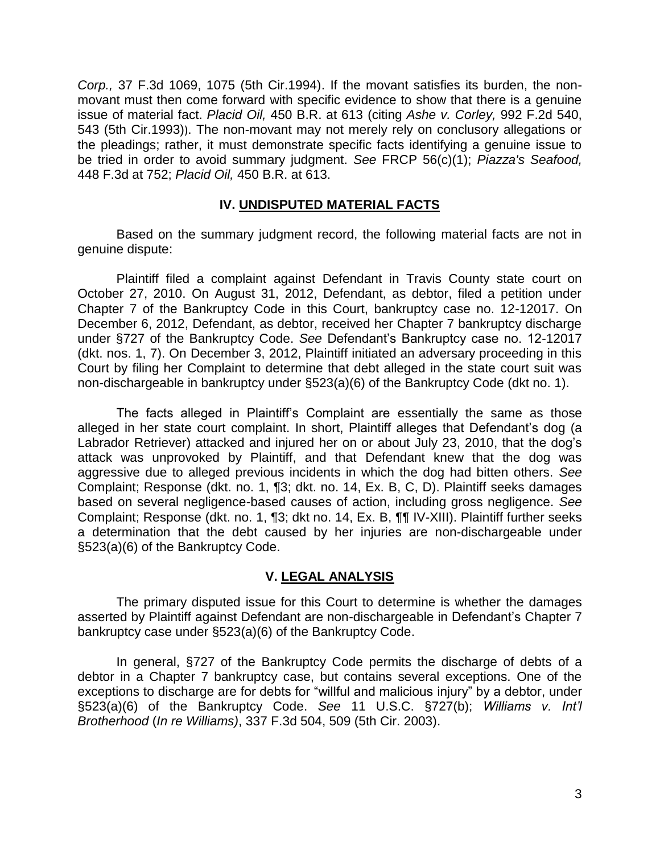*Corp.,* [37 F.3d 1069, 1075 \(5th Cir.1994\).](http://web2.westlaw.com/find/default.wl?mt=Westlaw&db=506&tc=-1&rp=%2ffind%2fdefault.wl&findtype=Y&ordoc=2024875742&serialnum=1994213060&vr=2.0&fn=_top&sv=Split&tf=-1&referencepositiontype=S&pbc=A21CB039&referenceposition=1075&rs=WLW12.01) If the movant satisfies its burden, the nonmovant must then come forward with specific evidence to show that there is a genuine issue of material fact. *Placid Oil,* 450 B.R. at 613 (citing *[Ashe v. Corley,](http://web2.westlaw.com/find/default.wl?mt=Westlaw&db=350&tc=-1&rp=%2ffind%2fdefault.wl&findtype=Y&ordoc=2024875742&serialnum=1993107747&vr=2.0&fn=_top&sv=Split&tf=-1&referencepositiontype=S&pbc=A21CB039&referenceposition=543&rs=WLW12.01)* 992 F.2d 540, [543 \(5th Cir.1993\)](http://web2.westlaw.com/find/default.wl?mt=Westlaw&db=350&tc=-1&rp=%2ffind%2fdefault.wl&findtype=Y&ordoc=2024875742&serialnum=1993107747&vr=2.0&fn=_top&sv=Split&tf=-1&referencepositiontype=S&pbc=A21CB039&referenceposition=543&rs=WLW12.01)). The non-movant may not merely rely on conclusory allegations or the pleadings; rather, it must demonstrate specific facts identifying a genuine issue to be tried in order to avoid summary judgment. *See* FRCP 56(c)(1); *[Piazza's Seafood,](http://web2.westlaw.com/find/default.wl?mt=Westlaw&db=506&tc=-1&rp=%2ffind%2fdefault.wl&findtype=Y&ordoc=2024875742&serialnum=2009084245&vr=2.0&fn=_top&sv=Split&tf=-1&referencepositiontype=S&pbc=A21CB039&referenceposition=752&rs=WLW12.01)* [448 F.3d at 752;](http://web2.westlaw.com/find/default.wl?mt=Westlaw&db=506&tc=-1&rp=%2ffind%2fdefault.wl&findtype=Y&ordoc=2024875742&serialnum=2009084245&vr=2.0&fn=_top&sv=Split&tf=-1&referencepositiontype=S&pbc=A21CB039&referenceposition=752&rs=WLW12.01) *Placid Oil,* 450 B.R. at 613.

## **IV. UNDISPUTED MATERIAL FACTS**

Based on the summary judgment record, the following material facts are not in genuine dispute:

Plaintiff filed a complaint against Defendant in Travis County state court on October 27, 2010. On August 31, 2012, Defendant, as debtor, filed a petition under Chapter 7 of the Bankruptcy Code in this Court, bankruptcy case no. 12-12017. On December 6, 2012, Defendant, as debtor, received her Chapter 7 bankruptcy discharge under §727 of the Bankruptcy Code. *See* Defendant's Bankruptcy case no. 12-12017 (dkt. nos. 1, 7). On December 3, 2012, Plaintiff initiated an adversary proceeding in this Court by filing her Complaint to determine that debt alleged in the state court suit was non-dischargeable in bankruptcy under §523(a)(6) of the Bankruptcy Code (dkt no. 1).

The facts alleged in Plaintiff's Complaint are essentially the same as those alleged in her state court complaint. In short, Plaintiff alleges that Defendant's dog (a Labrador Retriever) attacked and injured her on or about July 23, 2010, that the dog's attack was unprovoked by Plaintiff, and that Defendant knew that the dog was aggressive due to alleged previous incidents in which the dog had bitten others. *See* Complaint; Response (dkt. no. 1, ¶3; dkt. no. 14, Ex. B, C, D). Plaintiff seeks damages based on several negligence-based causes of action, including gross negligence. *See* Complaint; Response (dkt. no. 1, ¶3; dkt no. 14, Ex. B, ¶¶ IV-XIII). Plaintiff further seeks a determination that the debt caused by her injuries are non-dischargeable under §523(a)(6) of the Bankruptcy Code.

### **V. LEGAL ANALYSIS**

The primary disputed issue for this Court to determine is whether the damages asserted by Plaintiff against Defendant are non-dischargeable in Defendant's Chapter 7 bankruptcy case under §523(a)(6) of the Bankruptcy Code.

In general, §727 of the Bankruptcy Code permits the discharge of debts of a debtor in a Chapter 7 bankruptcy case, but contains several exceptions. One of the exceptions to discharge are for debts for "willful and malicious injury" by a debtor, under §523(a)(6) of the Bankruptcy Code. *See* 11 U.S.C. §727(b); *Williams v. Int'l Brotherhood* (*In re Williams)*, 337 F.3d 504, 509 (5th Cir. 2003).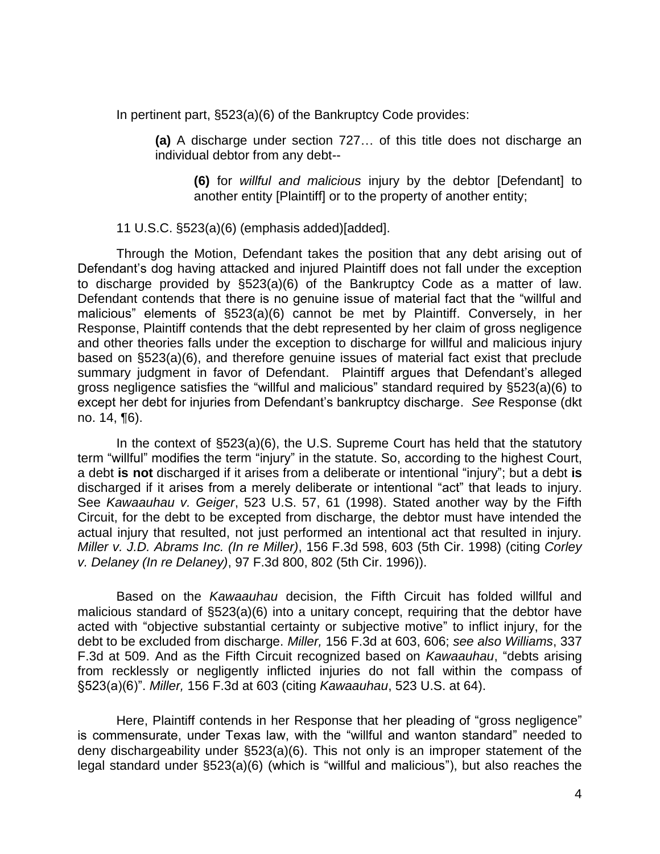In pertinent part, §523(a)(6) of the Bankruptcy Code provides:

**(a)** A discharge under section 727… of this title does not discharge an individual debtor from any debt--

**(6)** for *willful and malicious* injury by the debtor [Defendant] to another entity [Plaintiff] or to the property of another entity;

11 U.S.C. §523(a)(6) (emphasis added)[added].

Through the Motion, Defendant takes the position that any debt arising out of Defendant's dog having attacked and injured Plaintiff does not fall under the exception to discharge provided by §523(a)(6) of the Bankruptcy Code as a matter of law. Defendant contends that there is no genuine issue of material fact that the "willful and malicious" elements of §523(a)(6) cannot be met by Plaintiff. Conversely, in her Response, Plaintiff contends that the debt represented by her claim of gross negligence and other theories falls under the exception to discharge for willful and malicious injury based on §523(a)(6), and therefore genuine issues of material fact exist that preclude summary judgment in favor of Defendant. Plaintiff argues that Defendant's alleged gross negligence satisfies the "willful and malicious" standard required by §523(a)(6) to except her debt for injuries from Defendant's bankruptcy discharge. *See* Response (dkt no. 14, ¶6).

In the context of §523(a)(6), the U.S. Supreme Court has held that the statutory term "willful" modifies the term "injury" in the statute. So, according to the highest Court, a debt **is not** discharged if it arises from a deliberate or intentional "injury"; but a debt **is** discharged if it arises from a merely deliberate or intentional "act" that leads to injury. See *Kawaauhau v. Geiger*, 523 U.S. 57, 61 (1998). Stated another way by the Fifth Circuit, for the debt to be excepted from discharge, the debtor must have intended the actual injury that resulted, not just performed an intentional act that resulted in injury. *Miller v. J.D. Abrams Inc. (In re Miller)*, 156 F.3d 598, 603 (5th Cir. 1998) (citing *Corley v. Delaney (In re Delaney)*, 97 F.3d 800, 802 (5th Cir. 1996)).

Based on the *Kawaauhau* decision, the Fifth Circuit has folded willful and malicious standard of §523(a)(6) into a unitary concept, requiring that the debtor have acted with "objective substantial certainty or subjective motive" to inflict injury, for the debt to be excluded from discharge. *Miller,* 156 F.3d at 603, 606; *see also Williams*, 337 F.3d at 509. And as the Fifth Circuit recognized based on *Kawaauhau*, "debts arising from recklessly or negligently inflicted injuries do not fall within the compass of §523(a)(6)". *Miller,* 156 F.3d at 603 (citing *Kawaauhau*, 523 U.S. at 64).

Here, Plaintiff contends in her Response that her pleading of "gross negligence" is commensurate, under Texas law, with the "willful and wanton standard" needed to deny dischargeability under §523(a)(6). This not only is an improper statement of the legal standard under §523(a)(6) (which is "willful and malicious"), but also reaches the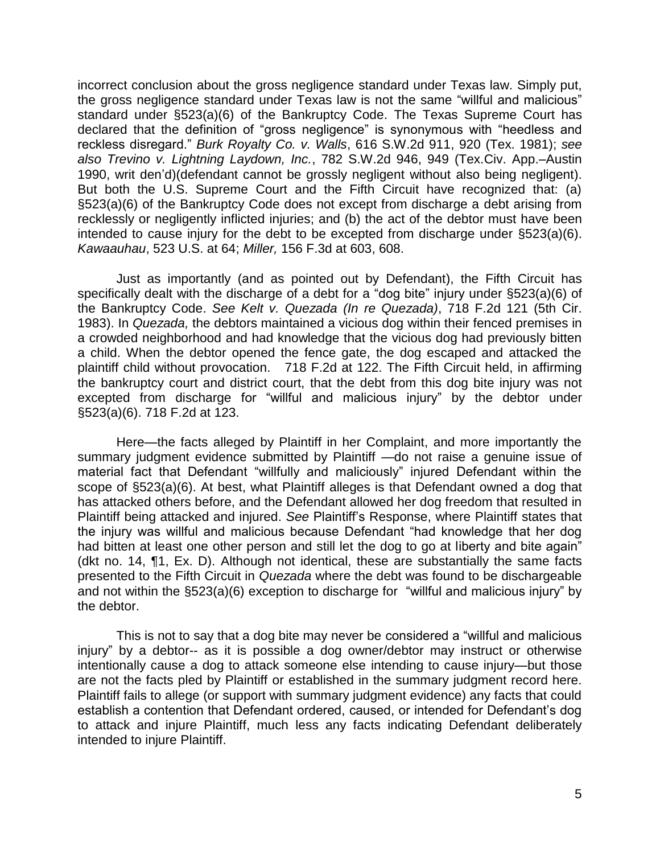incorrect conclusion about the gross negligence standard under Texas law. Simply put, the gross negligence standard under Texas law is not the same "willful and malicious" standard under §523(a)(6) of the Bankruptcy Code. The Texas Supreme Court has declared that the definition of "gross negligence" is synonymous with "heedless and reckless disregard." *Burk Royalty Co. v. Walls*, 616 S.W.2d 911, 920 (Tex. 1981); *see also Trevino v. Lightning Laydown, Inc.*, 782 S.W.2d 946, 949 (Tex.Civ. App.–Austin 1990, writ den'd)(defendant cannot be grossly negligent without also being negligent). But both the U.S. Supreme Court and the Fifth Circuit have recognized that: (a) §523(a)(6) of the Bankruptcy Code does not except from discharge a debt arising from recklessly or negligently inflicted injuries; and (b) the act of the debtor must have been intended to cause injury for the debt to be excepted from discharge under §523(a)(6). *Kawaauhau*, 523 U.S. at 64; *Miller,* 156 F.3d at 603, 608.

Just as importantly (and as pointed out by Defendant), the Fifth Circuit has specifically dealt with the discharge of a debt for a "dog bite" injury under §523(a)(6) of the Bankruptcy Code. *See Kelt v. Quezada (In re Quezada)*, 718 F.2d 121 (5th Cir. 1983). In *Quezada,* the debtors maintained a vicious dog within their fenced premises in a crowded neighborhood and had knowledge that the vicious dog had previously bitten a child. When the debtor opened the fence gate, the dog escaped and attacked the plaintiff child without provocation. 718 F.2d at 122. The Fifth Circuit held, in affirming the bankruptcy court and district court, that the debt from this dog bite injury was not excepted from discharge for "willful and malicious injury" by the debtor under §523(a)(6). 718 F.2d at 123.

Here—the facts alleged by Plaintiff in her Complaint, and more importantly the summary judgment evidence submitted by Plaintiff —do not raise a genuine issue of material fact that Defendant "willfully and maliciously" injured Defendant within the scope of §523(a)(6). At best, what Plaintiff alleges is that Defendant owned a dog that has attacked others before, and the Defendant allowed her dog freedom that resulted in Plaintiff being attacked and injured. *See* Plaintiff's Response, where Plaintiff states that the injury was willful and malicious because Defendant "had knowledge that her dog had bitten at least one other person and still let the dog to go at liberty and bite again<sup>"</sup> (dkt no. 14, ¶1, Ex. D). Although not identical, these are substantially the same facts presented to the Fifth Circuit in *Quezada* where the debt was found to be dischargeable and not within the §523(a)(6) exception to discharge for "willful and malicious injury" by the debtor.

This is not to say that a dog bite may never be considered a "willful and malicious injury" by a debtor-- as it is possible a dog owner/debtor may instruct or otherwise intentionally cause a dog to attack someone else intending to cause injury—but those are not the facts pled by Plaintiff or established in the summary judgment record here. Plaintiff fails to allege (or support with summary judgment evidence) any facts that could establish a contention that Defendant ordered, caused, or intended for Defendant's dog to attack and injure Plaintiff, much less any facts indicating Defendant deliberately intended to injure Plaintiff.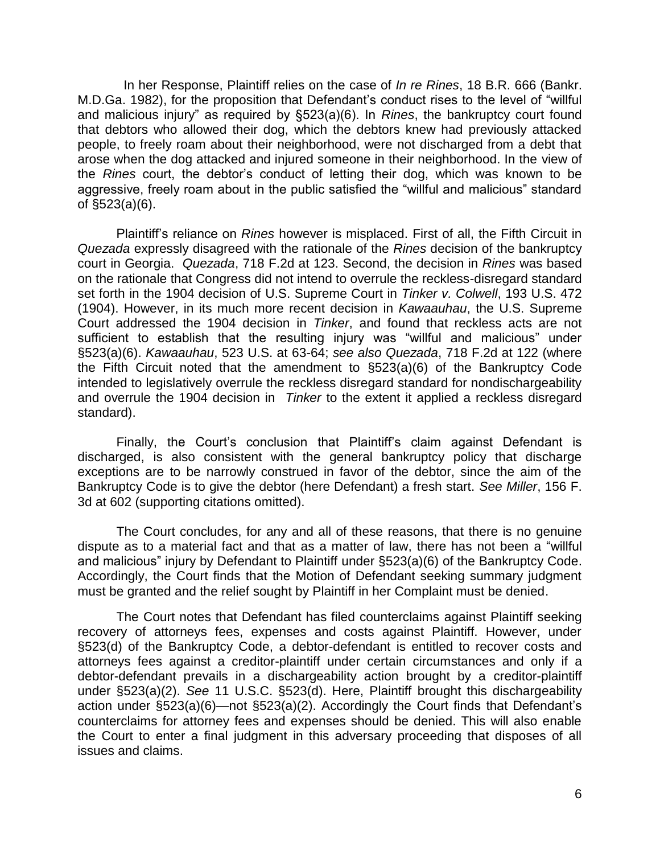In her Response, Plaintiff relies on the case of *In re Rines*, 18 B.R. 666 (Bankr. M.D.Ga. 1982), for the proposition that Defendant's conduct rises to the level of "willful and malicious injury" as required by §523(a)(6). In *Rines*, the bankruptcy court found that debtors who allowed their dog, which the debtors knew had previously attacked people, to freely roam about their neighborhood, were not discharged from a debt that arose when the dog attacked and injured someone in their neighborhood. In the view of the *Rines* court, the debtor's conduct of letting their dog, which was known to be aggressive, freely roam about in the public satisfied the "willful and malicious" standard of §523(a)(6).

Plaintiff's reliance on *Rines* however is misplaced. First of all, the Fifth Circuit in *Quezada* expressly disagreed with the rationale of the *Rines* decision of the bankruptcy court in Georgia. *Quezada*, 718 F.2d at 123. Second, the decision in *Rines* was based on the rationale that Congress did not intend to overrule the reckless-disregard standard set forth in the 1904 decision of U.S. Supreme Court in *Tinker v. Colwell*, 193 U.S. 472 (1904). However, in its much more recent decision in *Kawaauhau*, the U.S. Supreme Court addressed the 1904 decision in *Tinker*, and found that reckless acts are not sufficient to establish that the resulting injury was "willful and malicious" under §523(a)(6). *Kawaauhau*, 523 U.S. at 63-64; *see also Quezada*, 718 F.2d at 122 (where the Fifth Circuit noted that the amendment to §523(a)(6) of the Bankruptcy Code intended to legislatively overrule the reckless disregard standard for nondischargeability and overrule the 1904 decision in *Tinker* to the extent it applied a reckless disregard standard).

Finally, the Court's conclusion that Plaintiff's claim against Defendant is discharged, is also consistent with the general bankruptcy policy that discharge exceptions are to be narrowly construed in favor of the debtor, since the aim of the Bankruptcy Code is to give the debtor (here Defendant) a fresh start. *See Miller*, 156 F. 3d at 602 (supporting citations omitted).

The Court concludes, for any and all of these reasons, that there is no genuine dispute as to a material fact and that as a matter of law, there has not been a "willful and malicious" injury by Defendant to Plaintiff under §523(a)(6) of the Bankruptcy Code. Accordingly, the Court finds that the Motion of Defendant seeking summary judgment must be granted and the relief sought by Plaintiff in her Complaint must be denied.

The Court notes that Defendant has filed counterclaims against Plaintiff seeking recovery of attorneys fees, expenses and costs against Plaintiff. However, under §523(d) of the Bankruptcy Code, a debtor-defendant is entitled to recover costs and attorneys fees against a creditor-plaintiff under certain circumstances and only if a debtor-defendant prevails in a dischargeability action brought by a creditor-plaintiff under §523(a)(2). *See* 11 U.S.C. §523(d). Here, Plaintiff brought this dischargeability action under §523(a)(6)—not §523(a)(2). Accordingly the Court finds that Defendant's counterclaims for attorney fees and expenses should be denied. This will also enable the Court to enter a final judgment in this adversary proceeding that disposes of all issues and claims.